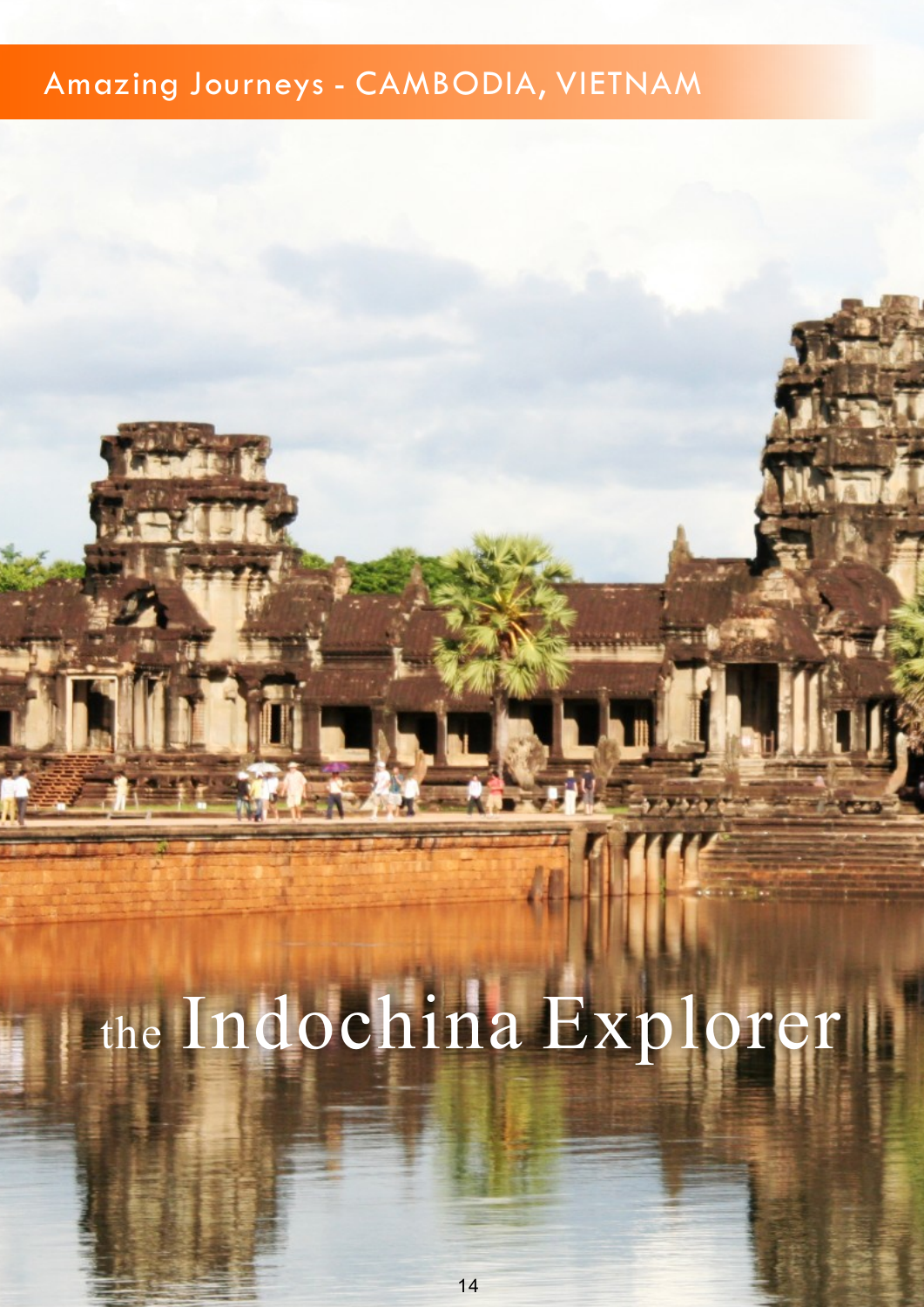## Amazing Journeys - CAMBODIA, VIETNAM

# the Indochina Explorer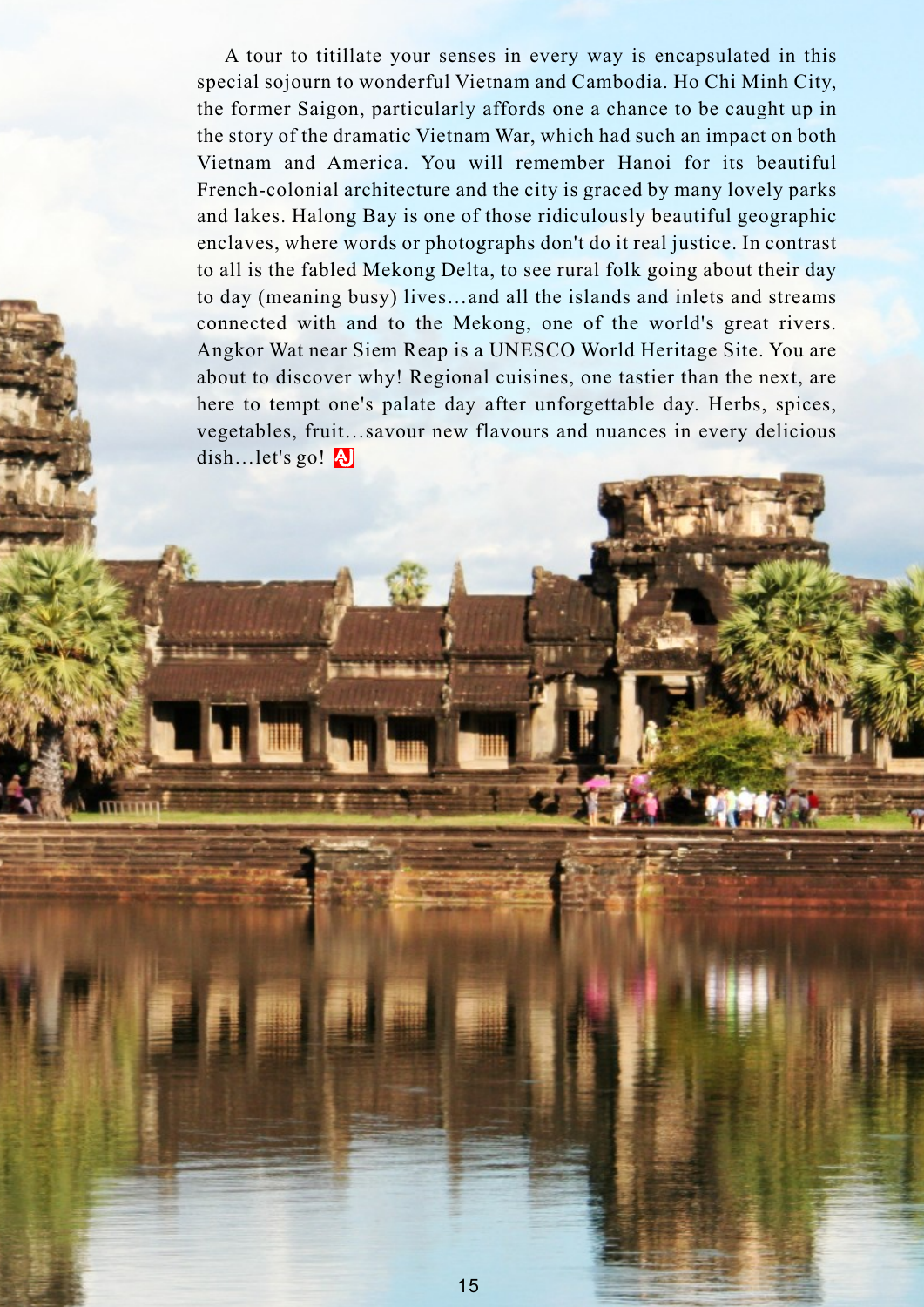A tour to titillate your senses in every way is encapsulated in this special sojourn to wonderful Vietnam and Cambodia. Ho Chi Minh City, the former Saigon, particularly affords one a chance to be caught up in the story of the dramatic Vietnam War, which had such an impact on both Vietnam and America. You will remember Hanoi for its beautiful French-colonial architecture and the city is graced by many lovely parks and lakes. Halong Bay is one of those ridiculously beautiful geographic enclaves, where words or photographs don't do it real justice. In contrast to all is the fabled Mekong Delta, to see rural folk going about their day to day (meaning busy) lives…and all the islands and inlets and streams connected with and to the Mekong, one of the world's great rivers. Angkor Wat near Siem Reap is a UNESCO World Heritage Site. You are about to discover why! Regional cuisines, one tastier than the next, are here to tempt one's palate day after unforgettable day. Herbs, spices, vegetables, fruit…savour new flavours and nuances in every delicious dish…let's go! **A**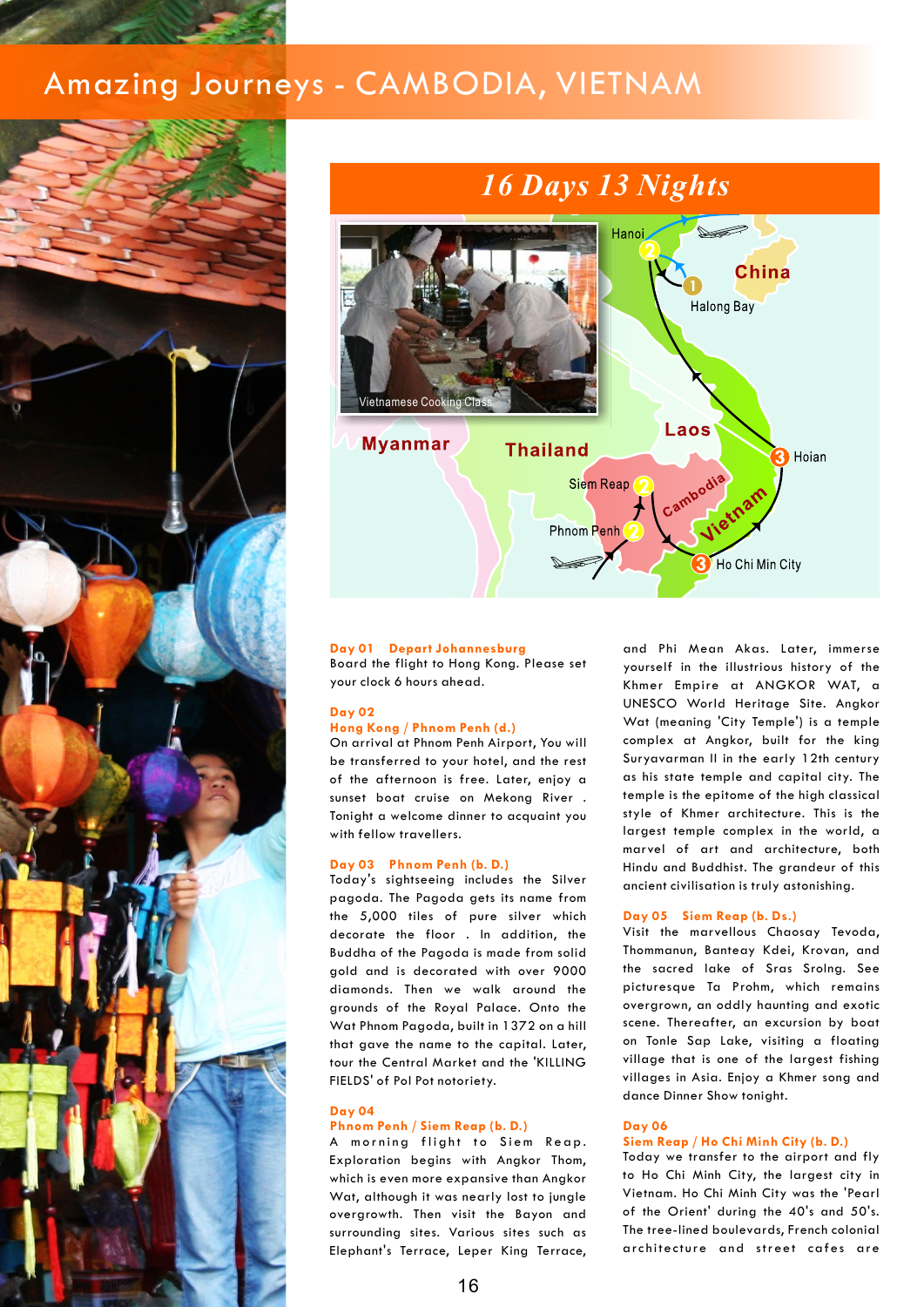## Amazing Journeys - CAMBODIA, VIETNAM



![](_page_2_Figure_2.jpeg)

#### **Day 01 Depart Johannesburg**

#### **Day 02**

#### **Hong Kong / Phnom Penh (d.)**

of the afternoon is free. Later, enjoy a

#### **Day 03 Phnom Penh (b. D.)**

Today's sightseeing includes the Silver pagoda. The Pagoda gets its name from the 5,000 tiles of pure silver which decorate the floor . In addition, the Visit the marvellous Chaosay Tevoda, Buddha of the Pagoda is made from solid Thommanun, Banteay Kdei, Krovan, and gold and is decorated with over 9000 the sacred lake of Sras SroIng. See diamonds. Then we walk around the picturesque Ta Prohm, which remains grounds of the Royal Palace. Onto the overgrown, an oddly haunting and exotic Wat Phnom Pagoda, built in 1372 on a hill scene. Thereafter, an excursion by boat that gave the name to the capital. Later, and Tonle Sap Lake, visiting a floating that is one of the largest fishing tour the Central Market and the 'KILLING FIELDS' of Pol Pot notoriety. The South of Police villages in Asia. Enjoy a Khmer song and

### **Day 04**

#### **Phnom Penh / Siem Reap (b. D.) Day 06**

A morning flight to Siem Reap. Exploration begins with Angkor Thom, Ioday we transfer to the airport and fly which is even more expansive than Angkor to Ho Chi Minh City, the largest city in Wat, although it was nearly lost to jungle Vietnam. Ho Chi Minh City was the 'Pearl<br>overgrowth. Then visit the Bayon and of the Orient' during the 40's and 50's. overgrowth. Then visit the Bayon and the Orient' during the 40's and 50's.<br>surrounding sites. Various sites such as the tree-lined boulevards, French colonial surrounding sites. Various sites such as Elephant's Terrace, Leper King Terrace, architecture and street cafes are

and Phi Mean Akas. Later, immerse Board the flight to Hong Kong. Please set yourself in the illustrious history of the your clock 6 hours ahead. Khmer Empire at ANGKOR WAT, a UNESCO World Heritage Site. Angkor Wat (meaning 'City Temple') is a temple On arrival at Phnom Penh Airport, You will complex at Angkor, built for the king be transferred to your hotel, and the rest Suryavarman II in the early 12th century<br>of the afternoon is free, Later, enjoy a sa his state temple and capital city. The sunset boat cruise on Mekong River . temple is the epitome of the high classical Tonight a welcome dinner to acquaint you style of Khmer architecture. This is the with fellow travellers. The state of the largest temple complex in the world, a marvel of art and architecture, both Hindu and Buddhist. The grandeur of this ancient civilisation is truly astonishing.

#### **Day 05 Siem Reap (b. Ds.)**

dance Dinner Show tonight.

#### **Siem Reap / Ho Chi Minh City (b. D.)**